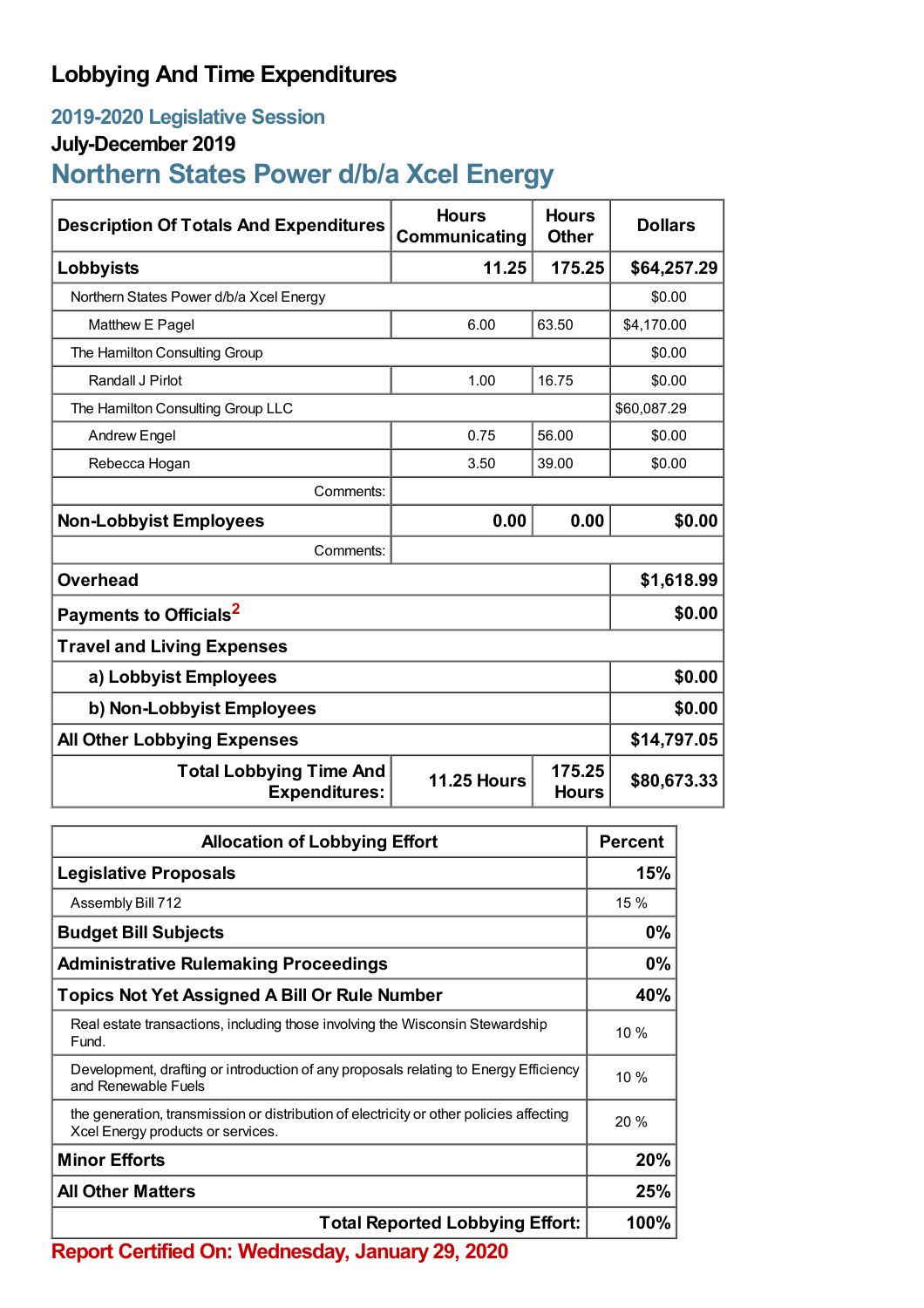# **Lobbying And Time Expenditures**

## **2019-2020 Legislative Session**

### **July-December 2019**

# **Northern States Power d/b/a Xcel Energy**

| <b>Description Of Totals And Expenditures</b>          | <b>Hours</b><br>Communicating | <b>Hours</b><br><b>Other</b> | <b>Dollars</b> |  |
|--------------------------------------------------------|-------------------------------|------------------------------|----------------|--|
| Lobbyists                                              | 11.25                         | 175.25                       | \$64,257.29    |  |
| Northern States Power d/b/a Xcel Energy                |                               |                              | \$0.00         |  |
| Matthew E Pagel                                        | 6.00                          | 63.50                        | \$4,170.00     |  |
| The Hamilton Consulting Group                          |                               |                              | \$0.00         |  |
| Randall J Pirlot                                       | 1.00                          | 16.75                        | \$0.00         |  |
| The Hamilton Consulting Group LLC                      |                               |                              | \$60,087.29    |  |
| <b>Andrew Engel</b>                                    | 0.75                          | 56.00                        | \$0.00         |  |
| Rebecca Hogan                                          | 3.50                          | 39.00                        | \$0.00         |  |
| Comments:                                              |                               |                              |                |  |
| <b>Non-Lobbyist Employees</b>                          | 0.00                          | 0.00                         | \$0.00         |  |
| Comments:                                              |                               |                              |                |  |
| <b>Overhead</b>                                        |                               |                              | \$1,618.99     |  |
| Payments to Officials <sup>2</sup>                     |                               |                              | \$0.00         |  |
| <b>Travel and Living Expenses</b>                      |                               |                              |                |  |
| a) Lobbyist Employees                                  |                               |                              | \$0.00         |  |
| b) Non-Lobbyist Employees                              | \$0.00                        |                              |                |  |
| <b>All Other Lobbying Expenses</b>                     | \$14,797.05                   |                              |                |  |
| <b>Total Lobbying Time And</b><br><b>Expenditures:</b> | <b>11.25 Hours</b>            | 175.25<br><b>Hours</b>       | \$80,673.33    |  |

| <b>Allocation of Lobbying Effort</b>                                                                                         |        |
|------------------------------------------------------------------------------------------------------------------------------|--------|
| <b>Legislative Proposals</b>                                                                                                 | 15%    |
| Assembly Bill 712                                                                                                            | 15 %   |
| <b>Budget Bill Subjects</b>                                                                                                  | 0%     |
| <b>Administrative Rulemaking Proceedings</b>                                                                                 | 0%     |
| <b>Topics Not Yet Assigned A Bill Or Rule Number</b>                                                                         | 40%    |
| Real estate transactions, including those involving the Wisconsin Stewardship<br>Fund.                                       | $10\%$ |
| Development, drafting or introduction of any proposals relating to Energy Efficiency<br>and Renewable Fuels                  | 10%    |
| the generation, transmission or distribution of electricity or other policies affecting<br>Xcel Energy products or services. | 20%    |
| <b>Minor Efforts</b>                                                                                                         | 20%    |
| <b>All Other Matters</b>                                                                                                     |        |
| <b>Total Reported Lobbying Effort:</b>                                                                                       |        |

**Report Certified On: Wednesday, January 29, 2020**